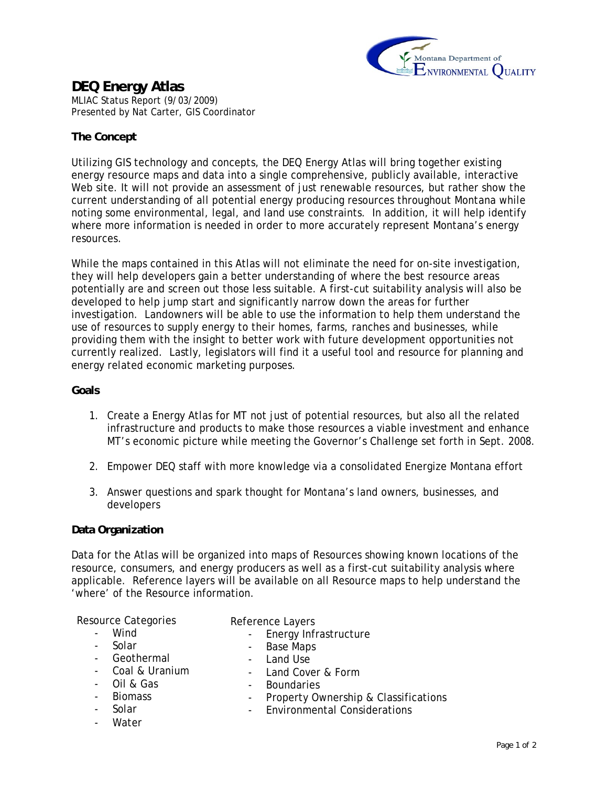

## **DEQ Energy Atlas**  MLIAC Status Report (9/03/2009) Presented by Nat Carter, GIS Coordinator

# **The Concept**

Utilizing GIS technology and concepts, the DEQ Energy Atlas will bring together existing energy resource maps and data into a single comprehensive, publicly available, interactive Web site. It will not provide an assessment of just renewable resources, but rather show the current understanding of all potential energy producing resources throughout Montana while noting some environmental, legal, and land use constraints. In addition, it will help identify where more information is needed in order to more accurately represent Montana's energy resources.

While the maps contained in this Atlas will not eliminate the need for on-site investigation, they will help developers gain a better understanding of where the best resource areas potentially are and screen out those less suitable. A first-cut suitability analysis will also be developed to help jump start and significantly narrow down the areas for further investigation. Landowners will be able to use the information to help them understand the use of resources to supply energy to their homes, farms, ranches and businesses, while providing them with the insight to better work with future development opportunities not currently realized. Lastly, legislators will find it a useful tool and resource for planning and energy related economic marketing purposes.

### **Goals**

- 1. Create a Energy Atlas for MT not just of potential resources, but also all the related infrastructure and products to make those resources a viable investment and enhance MT's economic picture while meeting the Governor's Challenge set forth in Sept. 2008.
- 2. Empower DEQ staff with more knowledge via a consolidated Energize Montana effort
- 3. Answer questions and spark thought for Montana's land owners, businesses, and developers

## **Data Organization**

Data for the Atlas will be organized into maps of Resources showing known locations of the resource, consumers, and energy producers as well as a first-cut suitability analysis where applicable. Reference layers will be available on all Resource maps to help understand the 'where' of the Resource information.

- Land Cover & Form

Resource Categories

- Reference Layers
- Wind

- Energy Infrastructure

- Solar

- Base Maps

- Land Use

- **Geothermal**
- Coal & Uranium
- Oil & Gas
- Biomass
- Solar
- Water
- Boundaries - Property Ownership & Classifications
- Environmental Considerations
	-